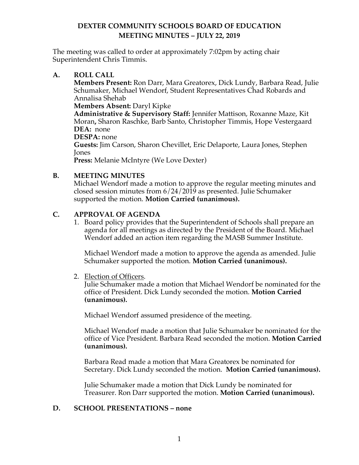The meeting was called to order at approximately 7:02pm by acting chair Superintendent Chris Timmis.

### **A. ROLL CALL**

**Members Present:** Ron Darr, Mara Greatorex, Dick Lundy, Barbara Read, Julie Schumaker, Michael Wendorf, Student Representatives Chad Robards and Annalisa Shehab

#### **Members Absent:** Daryl Kipke

**Administrative & Supervisory Staff:** Jennifer Mattison, Roxanne Maze, Kit Moran**,** Sharon Raschke, Barb Santo, Christopher Timmis, Hope Vestergaard **DEA:** none

**DESPA:** none

**Guests:** Jim Carson, Sharon Chevillet, Eric Delaporte, Laura Jones, Stephen Jones

**Press:** Melanie McIntyre (We Love Dexter)

### **B. MEETING MINUTES**

Michael Wendorf made a motion to approve the regular meeting minutes and closed session minutes from 6/24/2019 as presented. Julie Schumaker supported the motion. **Motion Carried (unanimous).** 

### **C. APPROVAL OF AGENDA**

1. Board policy provides that the Superintendent of Schools shall prepare an agenda for all meetings as directed by the President of the Board. Michael Wendorf added an action item regarding the MASB Summer Institute.

Michael Wendorf made a motion to approve the agenda as amended. Julie Schumaker supported the motion. **Motion Carried (unanimous).**

2. Election of Officers.

Julie Schumaker made a motion that Michael Wendorf be nominated for the office of President. Dick Lundy seconded the motion. **Motion Carried (unanimous).**

Michael Wendorf assumed presidence of the meeting.

Michael Wendorf made a motion that Julie Schumaker be nominated for the office of Vice President. Barbara Read seconded the motion. **Motion Carried (unanimous).**

Barbara Read made a motion that Mara Greatorex be nominated for Secretary. Dick Lundy seconded the motion. **Motion Carried (unanimous).**

Julie Schumaker made a motion that Dick Lundy be nominated for Treasurer. Ron Darr supported the motion. **Motion Carried (unanimous).**

### **D. SCHOOL PRESENTATIONS – none**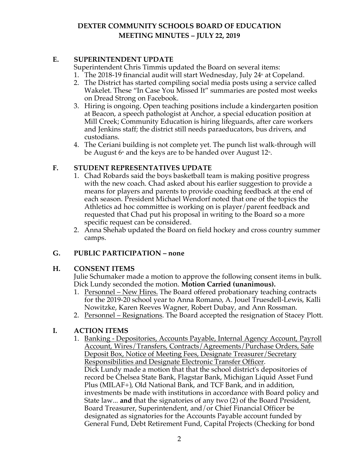## **E. SUPERINTENDENT UPDATE**

Superintendent Chris Timmis updated the Board on several items:

- 1. The 2018-19 financial audit will start Wednesday, July  $24^{\text{th}}$  at Copeland.
- 2. The District has started compiling social media posts using a service called Wakelet. These "In Case You Missed It" summaries are posted most weeks on Dread Strong on Facebook.
- 3. Hiring is ongoing. Open teaching positions include a kindergarten position at Beacon, a speech pathologist at Anchor, a special education position at Mill Creek; Community Education is hiring lifeguards, after care workers and Jenkins staff; the district still needs paraeducators, bus drivers, and custodians.
- 4. The Ceriani building is not complete yet. The punch list walk-through will be August  $6<sup>th</sup>$  and the keys are to be handed over August 12<sup>th</sup>.

### **F. STUDENT REPRESENTATIVES UPDATE**

- 1. Chad Robards said the boys basketball team is making positive progress with the new coach. Chad asked about his earlier suggestion to provide a means for players and parents to provide coaching feedback at the end of each season. President Michael Wendorf noted that one of the topics the Athletics ad hoc committee is working on is player/parent feedback and requested that Chad put his proposal in writing to the Board so a more specific request can be considered.
- 2. Anna Shehab updated the Board on field hockey and cross country summer camps.

### **G. PUBLIC PARTICIPATION – none**

### **H. CONSENT ITEMS**

Julie Schumaker made a motion to approve the following consent items in bulk. Dick Lundy seconded the motion. **Motion Carried (unanimous).** 

- 1. Personnel New Hires. The Board offered probationary teaching contracts for the 2019-20 school year to Anna Romano, A. Jouel Truesdell-Lewis, Kalli Nowitzke, Karen Reeves Wagner, Robert Dubay, and Ann Rossman.
- 2. Personnel Resignations. The Board accepted the resignation of Stacey Plott.

### **I. ACTION ITEMS**

1. Banking - Depositories, Accounts Payable, Internal Agency Account, Payroll Account, Wires/Transfers, Contracts/Agreements/Purchase Orders, Safe Deposit Box, Notice of Meeting Fees, Designate Treasurer/Secretary Responsibilities and Designate Electronic Transfer Officer. Dick Lundy made a motion that that the school district's depositories of record be Chelsea State Bank, Flagstar Bank, Michigan Liquid Asset Fund Plus (MILAF+), Old National Bank, and TCF Bank, and in addition, investments be made with institutions in accordance with Board policy and State law... **and** that the signatories of any two (2) of the Board President, Board Treasurer, Superintendent, and/or Chief Financial Officer be designated as signatories for the Accounts Payable account funded by General Fund, Debt Retirement Fund, Capital Projects (Checking for bond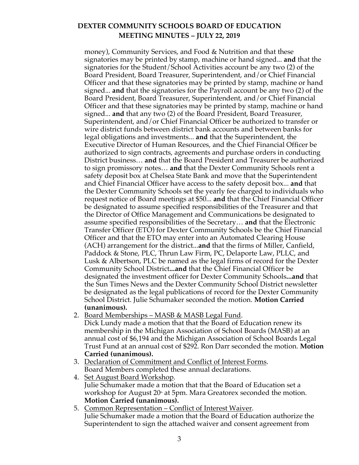money), Community Services, and Food & Nutrition and that these signatories may be printed by stamp, machine or hand signed... **and** that the signatories for the Student/School Activities account be any two (2) of the Board President, Board Treasurer, Superintendent, and/or Chief Financial Officer and that these signatories may be printed by stamp, machine or hand signed... **and** that the signatories for the Payroll account be any two (2) of the Board President, Board Treasurer, Superintendent, and/or Chief Financial Officer and that these signatories may be printed by stamp, machine or hand signed... **and** that any two (2) of the Board President, Board Treasurer, Superintendent, and/or Chief Financial Officer be authorized to transfer or wire district funds between district bank accounts and between banks for legal obligations and investments... **and** that the Superintendent, the Executive Director of Human Resources, and the Chief Financial Officer be authorized to sign contracts, agreements and purchase orders in conducting District business… **and** that the Board President and Treasurer be authorized to sign promissory notes… **and** that the Dexter Community Schools rent a safety deposit box at Chelsea State Bank and move that the Superintendent and Chief Financial Officer have access to the safety deposit box... **and** that the Dexter Community Schools set the yearly fee charged to individuals who request notice of Board meetings at \$50... **and** that the Chief Financial Officer be designated to assume specified responsibilities of the Treasurer and that the Director of Office Management and Communications be designated to assume specified responsibilities of the Secretary… **and** that the Electronic Transfer Officer (ETO) for Dexter Community Schools be the Chief Financial Officer and that the ETO may enter into an Automated Clearing House (ACH) arrangement for the district...**and** that the firms of Miller, Canfield, Paddock & Stone, PLC, Thrun Law Firm, PC, Delaporte Law, PLLC, and Lusk & Albertson, PLC be named as the legal firms of record for the Dexter Community School District**...and** that the Chief Financial Officer be designated the investment officer for Dexter Community Schools**...and** that the Sun Times News and the Dexter Community School District newsletter be designated as the legal publications of record for the Dexter Community School District. Julie Schumaker seconded the motion. **Motion Carried (unanimous).** 

- 2. Board Memberships MASB & MASB Legal Fund.
- Dick Lundy made a motion that that the Board of Education renew its membership in the Michigan Association of School Boards (MASB) at an annual cost of \$6,194 and the Michigan Association of School Boards Legal Trust Fund at an annual cost of \$292. Ron Darr seconded the motion. **Motion Carried (unanimous).**
- 3. Declaration of Commitment and Conflict of Interest Forms. Board Members completed these annual declarations.
- 4. Set August Board Workshop. Julie Schumaker made a motion that that the Board of Education set a workshop for August  $20<sup>th</sup>$  at 5pm. Mara Greatorex seconded the motion. **Motion Carried (unanimous).**
- 5. Common Representation Conflict of Interest Waiver. Julie Schumaker made a motion that the Board of Education authorize the Superintendent to sign the attached waiver and consent agreement from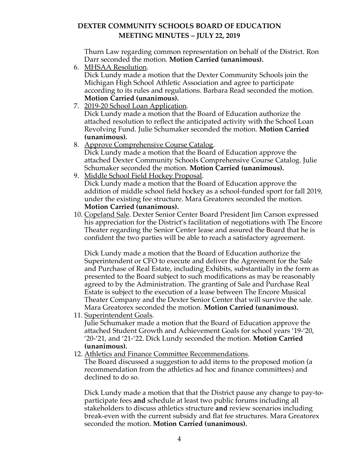Thurn Law regarding common representation on behalf of the District. Ron Darr seconded the motion. **Motion Carried (unanimous).** 

6. MHSAA Resolution.

Dick Lundy made a motion that the Dexter Community Schools join the Michigan High School Athletic Association and agree to participate according to its rules and regulations. Barbara Read seconded the motion. **Motion Carried (unanimous).**

- 7. 2019-20 School Loan Application. Dick Lundy made a motion that the Board of Education authorize the attached resolution to reflect the anticipated activity with the School Loan Revolving Fund. Julie Schumaker seconded the motion. **Motion Carried (unanimous).**
- 8. Approve Comprehensive Course Catalog. Dick Lundy made a motion that the Board of Education approve the attached Dexter Community Schools Comprehensive Course Catalog. Julie Schumaker seconded the motion. **Motion Carried (unanimous).**
- 9. Middle School Field Hockey Proposal. Dick Lundy made a motion that the Board of Education approve the addition of middle school field hockey as a school-funded sport for fall 2019, under the existing fee structure. Mara Greatorex seconded the motion. **Motion Carried (unanimous).**
- 10. Copeland Sale. Dexter Senior Center Board President Jim Carson expressed his appreciation for the District's facilitation of negotiations with The Encore Theater regarding the Senior Center lease and assured the Board that he is confident the two parties will be able to reach a satisfactory agreement.

Dick Lundy made a motion that the Board of Education authorize the Superintendent or CFO to execute and deliver the Agreement for the Sale and Purchase of Real Estate, including Exhibits, substantially in the form as presented to the Board subject to such modifications as may be reasonably agreed to by the Administration. The granting of Sale and Purchase Real Estate is subject to the execution of a lease between The Encore Musical Theater Company and the Dexter Senior Center that will survive the sale. Mara Greatorex seconded the motion. **Motion Carried (unanimous).** 

11. Superintendent Goals.

Julie Schumaker made a motion that the Board of Education approve the attached Student Growth and Achievement Goals for school years '19-'20, '20-'21, and '21-'22. Dick Lundy seconded the motion. **Motion Carried (unanimous).** 

12. Athletics and Finance Committee Recommendations.

The Board discussed a suggestion to add items to the proposed motion (a recommendation from the athletics ad hoc and finance committees) and declined to do so.

Dick Lundy made a motion that that the District pause any change to pay-toparticipate fees **and** schedule at least two public forums including all stakeholders to discuss athletics structure **and** review scenarios including break-even with the current subsidy and flat fee structures. Mara Greatorex seconded the motion. **Motion Carried (unanimous).**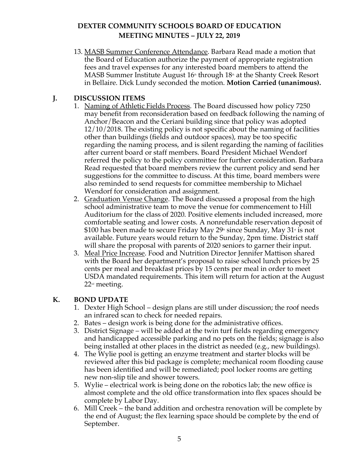13. MASB Summer Conference Attendance. Barbara Read made a motion that the Board of Education authorize the payment of appropriate registration fees and travel expenses for any interested board members to attend the MASB Summer Institute August  $16<sup>th</sup>$  through  $18<sup>th</sup>$  at the Shanty Creek Resort in Bellaire. Dick Lundy seconded the motion. **Motion Carried (unanimous).** 

### **J. DISCUSSION ITEMS**

- 1. Naming of Athletic Fields Process. The Board discussed how policy 7250 may benefit from reconsideration based on feedback following the naming of Anchor/Beacon and the Ceriani building since that policy was adopted 12/10/2018. The existing policy is not specific about the naming of facilities other than buildings (fields and outdoor spaces), may be too specific regarding the naming process, and is silent regarding the naming of facilities after current board or staff members. Board President Michael Wendorf referred the policy to the policy committee for further consideration. Barbara Read requested that board members review the current policy and send her suggestions for the committee to discuss. At this time, board members were also reminded to send requests for committee membership to Michael Wendorf for consideration and assignment.
- 2. Graduation Venue Change. The Board discussed a proposal from the high school administrative team to move the venue for commencement to Hill Auditorium for the class of 2020. Positive elements included increased, more comfortable seating and lower costs. A nonrefundable reservation deposit of \$100 has been made to secure Friday May  $29$ <sup>th</sup> since Sunday, May 31<sup> $\cdot$ </sup> is not available. Future years would return to the Sunday, 2pm time. District staff will share the proposal with parents of 2020 seniors to garner their input.
- 3. Meal Price Increase. Food and Nutrition Director Jennifer Mattison shared with the Board her department's proposal to raise school lunch prices by 25 cents per meal and breakfast prices by 15 cents per meal in order to meet USDA mandated requirements. This item will return for action at the August 22<sup>nd</sup> meeting.

# **K. BOND UPDATE**

- 1. Dexter High School design plans are still under discussion; the roof needs an infrared scan to check for needed repairs.
- 2. Bates design work is being done for the administrative offices.
- 3. District Signage will be added at the twin turf fields regarding emergency and handicapped accessible parking and no pets on the fields; signage is also being installed at other places in the district as needed (e.g., new buildings).
- 4. The Wylie pool is getting an enzyme treatment and starter blocks will be reviewed after this bid package is complete; mechanical room flooding cause has been identified and will be remediated; pool locker rooms are getting new non-slip tile and shower towers.
- 5. Wylie electrical work is being done on the robotics lab; the new office is almost complete and the old office transformation into flex spaces should be complete by Labor Day.
- 6. Mill Creek the band addition and orchestra renovation will be complete by the end of August; the flex learning space should be complete by the end of September.